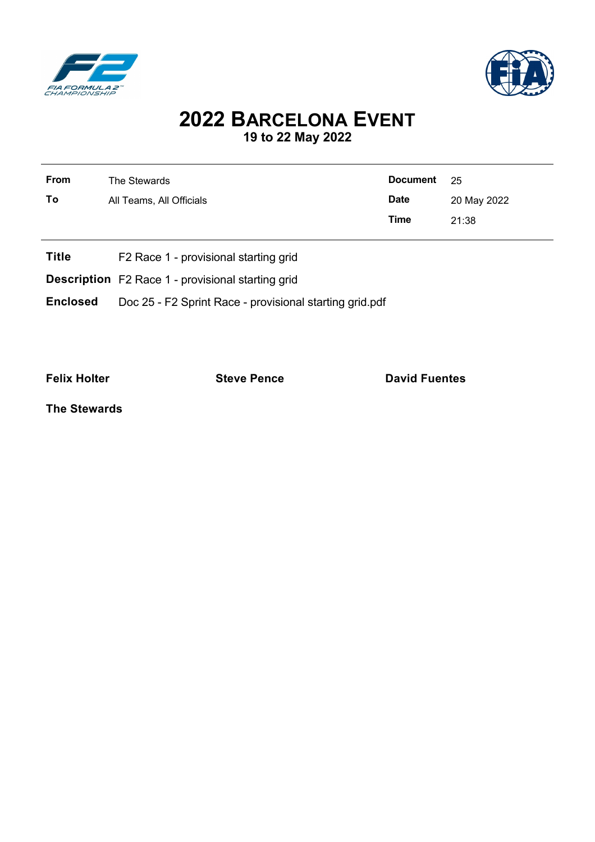



## **2022 BARCELONA EVENT 19 to 22 May 2022**

| ---- | the contract of the contract of the contract of the contract of the contract of the contract of the contract of<br>--- |             |             |
|------|------------------------------------------------------------------------------------------------------------------------|-------------|-------------|
|      |                                                                                                                        | Time        | 21:38       |
| To   | All Teams, All Officials                                                                                               | <b>Date</b> | 20 May 2022 |
| From | The Stewards                                                                                                           | Document 25 |             |
|      |                                                                                                                        |             |             |

- **Title** F2 Race 1 provisional starting grid
- **Description** F2 Race 1 provisional starting grid
- **Enclosed** Doc 25 F2 Sprint Race provisional starting grid.pdf

**Felix Holter Constanting Steve Pence Constanting David Fuentes** 

**The Stewards**